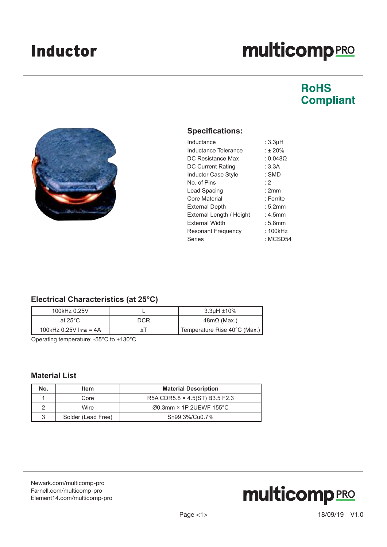# **multicomp**PRO

### **RoHS Compliant**



### **Specifications:**

| Inductance                 | : 3.3µH    |
|----------------------------|------------|
| Inductance Tolerance       | : 120%     |
| DC Resistance Max          | : 0.0480   |
| <b>DC Current Rating</b>   | : $3.3A$   |
| <b>Inductor Case Style</b> | : SMD      |
| No. of Pins                | $\cdot$ 2  |
| Lead Spacing               | :2mm       |
| Core Material              | : Ferrite  |
| <b>External Depth</b>      | : 5.2mm    |
| External Length / Height   | $: 4.5$ mm |
| <b>External Width</b>      | : 5.8mm    |
| <b>Resonant Frequency</b>  | : 100kHz   |
| Series                     | : MCSD54   |
|                            |            |

### **Electrical Characteristics (at 25°C)**

| 100kHz 0.25V                      |     | 3.3µH ±10%                   |
|-----------------------------------|-----|------------------------------|
| at 25 $^{\circ}$ C                | DCR | $48m\Omega$ (Max.)           |
| 100kHz $0.25V$ $\text{Irms} = 4A$ |     | Temperature Rise 40°C (Max.) |

Operating temperature: -55°C to +130°C

### **Material List**

| No. | ltem               | <b>Material Description</b>          |
|-----|--------------------|--------------------------------------|
|     | Core               | R5A CDR5.8 × 4.5(ST) B3.5 F2.3       |
|     | Wire               | $\varnothing$ 0.3mm × 1P 2UEWF 155°C |
| 3   | Solder (Lead Free) | Sn99.3%/Cu0.7%                       |

[Newark.com/multicomp-](https://www.newark.com/multicomp-pro)pro [Farnell.com/multicomp](https://www.farnell.com/multicomp-pro)-pro [Element14.com/multicomp-pro](https://element14.com/multicomp-pro)

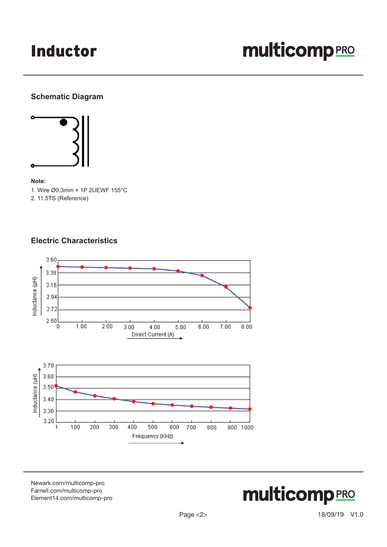### Inductor

# **multicomp**PRO

### **Schematic Diagram**



#### **Note:**

1. Wire Ø0.3mm × 1P 2UEWF 155°C 2. 11.5TS (Reference)

### **Electric Characteristics**



[Newark.com/multicomp-](https://www.newark.com/multicomp-pro)pro [Farnell.com/multicomp](https://www.farnell.com/multicomp-pro)-pro [Element14.com/multicomp-pro](https://element14.com/multicomp-pro)